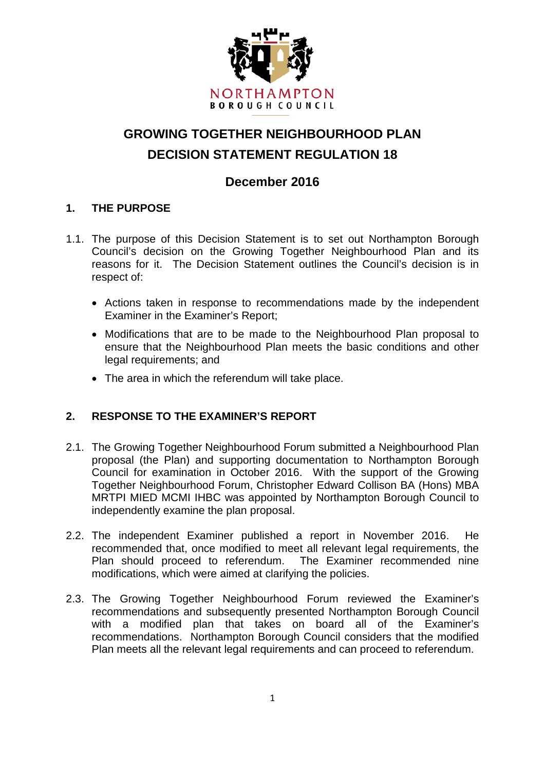

# **GROWING TOGETHER NEIGHBOURHOOD PLAN DECISION STATEMENT REGULATION 18**

# **December 2016**

### **1. THE PURPOSE**

- 1.1. The purpose of this Decision Statement is to set out Northampton Borough Council's decision on the Growing Together Neighbourhood Plan and its reasons for it. The Decision Statement outlines the Council's decision is in respect of:
	- Actions taken in response to recommendations made by the independent Examiner in the Examiner's Report;
	- Modifications that are to be made to the Neighbourhood Plan proposal to ensure that the Neighbourhood Plan meets the basic conditions and other legal requirements; and
	- The area in which the referendum will take place.

### **2. RESPONSE TO THE EXAMINER'S REPORT**

- 2.1. The Growing Together Neighbourhood Forum submitted a Neighbourhood Plan proposal (the Plan) and supporting documentation to Northampton Borough Council for examination in October 2016. With the support of the Growing Together Neighbourhood Forum, Christopher Edward Collison BA (Hons) MBA MRTPI MIED MCMI IHBC was appointed by Northampton Borough Council to independently examine the plan proposal.
- 2.2. The independent Examiner published a report in November 2016. He recommended that, once modified to meet all relevant legal requirements, the Plan should proceed to referendum. The Examiner recommended nine modifications, which were aimed at clarifying the policies.
- 2.3. The Growing Together Neighbourhood Forum reviewed the Examiner's recommendations and subsequently presented Northampton Borough Council with a modified plan that takes on board all of the Examiner's recommendations. Northampton Borough Council considers that the modified Plan meets all the relevant legal requirements and can proceed to referendum.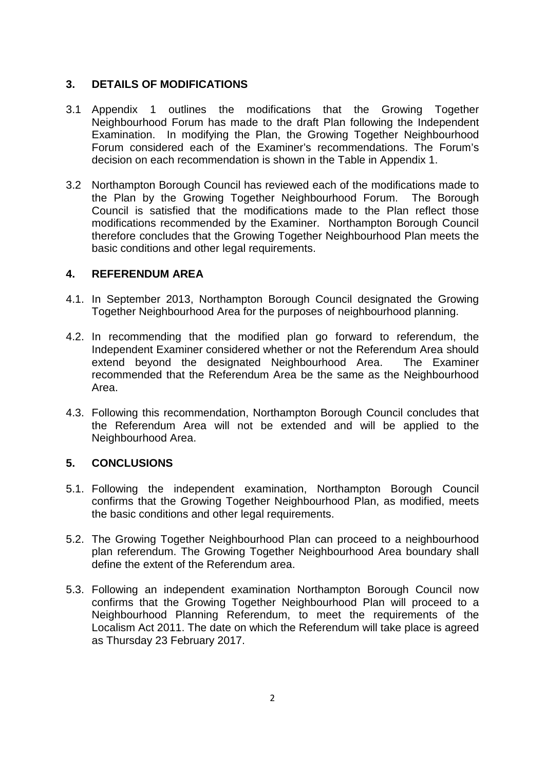### **3. DETAILS OF MODIFICATIONS**

- 3.1 Appendix 1 outlines the modifications that the Growing Together Neighbourhood Forum has made to the draft Plan following the Independent Examination. In modifying the Plan, the Growing Together Neighbourhood Forum considered each of the Examiner's recommendations. The Forum's decision on each recommendation is shown in the Table in Appendix 1.
- 3.2 Northampton Borough Council has reviewed each of the modifications made to the Plan by the Growing Together Neighbourhood Forum. The Borough Council is satisfied that the modifications made to the Plan reflect those modifications recommended by the Examiner. Northampton Borough Council therefore concludes that the Growing Together Neighbourhood Plan meets the basic conditions and other legal requirements.

#### **4. REFERENDUM AREA**

- 4.1. In September 2013, Northampton Borough Council designated the Growing Together Neighbourhood Area for the purposes of neighbourhood planning.
- 4.2. In recommending that the modified plan go forward to referendum, the Independent Examiner considered whether or not the Referendum Area should extend beyond the designated Neighbourhood Area. The Examiner recommended that the Referendum Area be the same as the Neighbourhood Area.
- 4.3. Following this recommendation, Northampton Borough Council concludes that the Referendum Area will not be extended and will be applied to the Neighbourhood Area.

#### **5. CONCLUSIONS**

- 5.1. Following the independent examination, Northampton Borough Council confirms that the Growing Together Neighbourhood Plan, as modified, meets the basic conditions and other legal requirements.
- 5.2. The Growing Together Neighbourhood Plan can proceed to a neighbourhood plan referendum. The Growing Together Neighbourhood Area boundary shall define the extent of the Referendum area.
- 5.3. Following an independent examination Northampton Borough Council now confirms that the Growing Together Neighbourhood Plan will proceed to a Neighbourhood Planning Referendum, to meet the requirements of the Localism Act 2011. The date on which the Referendum will take place is agreed as Thursday 23 February 2017.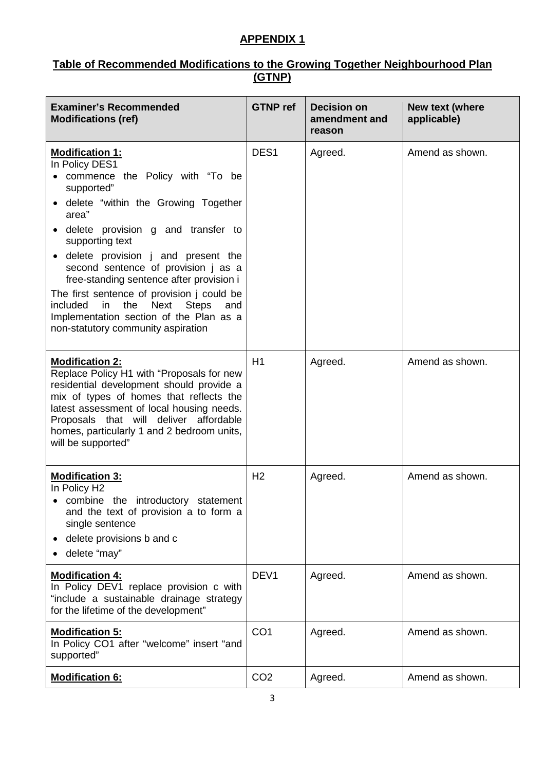### **APPENDIX 1**

#### **Table of Recommended Modifications to the Growing Together Neighbourhood Plan (GTNP)**

| <b>Examiner's Recommended</b><br><b>Modifications (ref)</b>                                                                                                                                                                                                                                                                                                                                                                                                                                                              | <b>GTNP</b> ref  | <b>Decision on</b><br>amendment and<br>reason | New text (where<br>applicable) |
|--------------------------------------------------------------------------------------------------------------------------------------------------------------------------------------------------------------------------------------------------------------------------------------------------------------------------------------------------------------------------------------------------------------------------------------------------------------------------------------------------------------------------|------------------|-----------------------------------------------|--------------------------------|
| <b>Modification 1:</b><br>In Policy DES1<br>commence the Policy with "To be<br>supported"<br>• delete "within the Growing Together<br>area"<br>• delete provision g and transfer to<br>supporting text<br>• delete provision j and present the<br>second sentence of provision j as a<br>free-standing sentence after provision i<br>The first sentence of provision j could be<br>the<br>Next<br><b>Steps</b><br>included<br>in<br>and<br>Implementation section of the Plan as a<br>non-statutory community aspiration | DES <sub>1</sub> | Agreed.                                       | Amend as shown.                |
| <b>Modification 2:</b><br>Replace Policy H1 with "Proposals for new<br>residential development should provide a<br>mix of types of homes that reflects the<br>latest assessment of local housing needs.<br>Proposals that will deliver affordable<br>homes, particularly 1 and 2 bedroom units,<br>will be supported"                                                                                                                                                                                                    | H1               | Agreed.                                       | Amend as shown.                |
| <b>Modification 3:</b><br>In Policy H2<br>• combine the introductory statement<br>and the text of provision a to form a<br>single sentence<br>delete provisions b and c<br>delete "may"                                                                                                                                                                                                                                                                                                                                  | H <sub>2</sub>   | Agreed.                                       | Amend as shown.                |
| <b>Modification 4:</b><br>In Policy DEV1 replace provision c with<br>"include a sustainable drainage strategy<br>for the lifetime of the development"                                                                                                                                                                                                                                                                                                                                                                    | DEV <sub>1</sub> | Agreed.                                       | Amend as shown.                |
| <b>Modification 5:</b><br>In Policy CO1 after "welcome" insert "and<br>supported"                                                                                                                                                                                                                                                                                                                                                                                                                                        | CO <sub>1</sub>  | Agreed.                                       | Amend as shown.                |
| <b>Modification 6:</b>                                                                                                                                                                                                                                                                                                                                                                                                                                                                                                   | CO <sub>2</sub>  | Agreed.                                       | Amend as shown.                |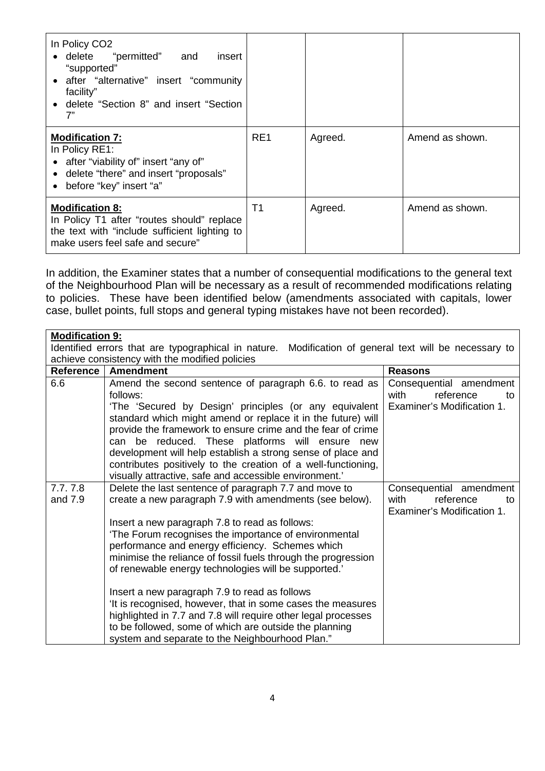| In Policy CO <sub>2</sub><br>"permitted" and<br>$\bullet$ delete<br>insert<br>"supported"<br>• after "alternative" insert "community<br>facility"<br>• delete "Section 8" and insert "Section<br>7" |     |         |                 |
|-----------------------------------------------------------------------------------------------------------------------------------------------------------------------------------------------------|-----|---------|-----------------|
| <b>Modification 7:</b><br>In Policy RE1:<br>• after "viability of" insert "any of"<br>• delete "there" and insert "proposals"<br>• before "key" insert "a"                                          | RE1 | Agreed. | Amend as shown. |
| <b>Modification 8:</b><br>In Policy T1 after "routes should" replace<br>the text with "include sufficient lighting to<br>make users feel safe and secure"                                           | T1  | Agreed. | Amend as shown. |

In addition, the Examiner states that a number of consequential modifications to the general text of the Neighbourhood Plan will be necessary as a result of recommended modifications relating to policies. These have been identified below (amendments associated with capitals, lower case, bullet points, full stops and general typing mistakes have not been recorded).

| <b>Modification 9:</b>                                                                                |                                                                                                                   |                                                       |  |  |
|-------------------------------------------------------------------------------------------------------|-------------------------------------------------------------------------------------------------------------------|-------------------------------------------------------|--|--|
| Identified errors that are typographical in nature. Modification of general text will be necessary to |                                                                                                                   |                                                       |  |  |
| achieve consistency with the modified policies                                                        |                                                                                                                   |                                                       |  |  |
| Reference                                                                                             | <b>Amendment</b>                                                                                                  | <b>Reasons</b>                                        |  |  |
| 6.6                                                                                                   | Amend the second sentence of paragraph 6.6. to read as                                                            | Consequential amendment                               |  |  |
|                                                                                                       | follows:                                                                                                          | with<br>reference<br>to                               |  |  |
|                                                                                                       | 'The 'Secured by Design' principles (or any equivalent                                                            | Examiner's Modification 1.                            |  |  |
|                                                                                                       | standard which might amend or replace it in the future) will                                                      |                                                       |  |  |
|                                                                                                       | provide the framework to ensure crime and the fear of crime                                                       |                                                       |  |  |
|                                                                                                       | can be reduced. These platforms will ensure new                                                                   |                                                       |  |  |
|                                                                                                       | development will help establish a strong sense of place and                                                       |                                                       |  |  |
|                                                                                                       | contributes positively to the creation of a well-functioning,                                                     |                                                       |  |  |
|                                                                                                       | visually attractive, safe and accessible environment.'                                                            |                                                       |  |  |
| 7.7.7.8                                                                                               | Delete the last sentence of paragraph 7.7 and move to                                                             | Consequential amendment                               |  |  |
| and 7.9                                                                                               | create a new paragraph 7.9 with amendments (see below).                                                           | with<br>reference<br>to<br>Examiner's Modification 1. |  |  |
|                                                                                                       |                                                                                                                   |                                                       |  |  |
|                                                                                                       | Insert a new paragraph 7.8 to read as follows:<br>'The Forum recognises the importance of environmental           |                                                       |  |  |
|                                                                                                       |                                                                                                                   |                                                       |  |  |
|                                                                                                       | performance and energy efficiency. Schemes which<br>minimise the reliance of fossil fuels through the progression |                                                       |  |  |
|                                                                                                       | of renewable energy technologies will be supported.'                                                              |                                                       |  |  |
|                                                                                                       |                                                                                                                   |                                                       |  |  |
|                                                                                                       | Insert a new paragraph 7.9 to read as follows                                                                     |                                                       |  |  |
|                                                                                                       | 'It is recognised, however, that in some cases the measures                                                       |                                                       |  |  |
|                                                                                                       | highlighted in 7.7 and 7.8 will require other legal processes                                                     |                                                       |  |  |
|                                                                                                       | to be followed, some of which are outside the planning                                                            |                                                       |  |  |
|                                                                                                       | system and separate to the Neighbourhood Plan."                                                                   |                                                       |  |  |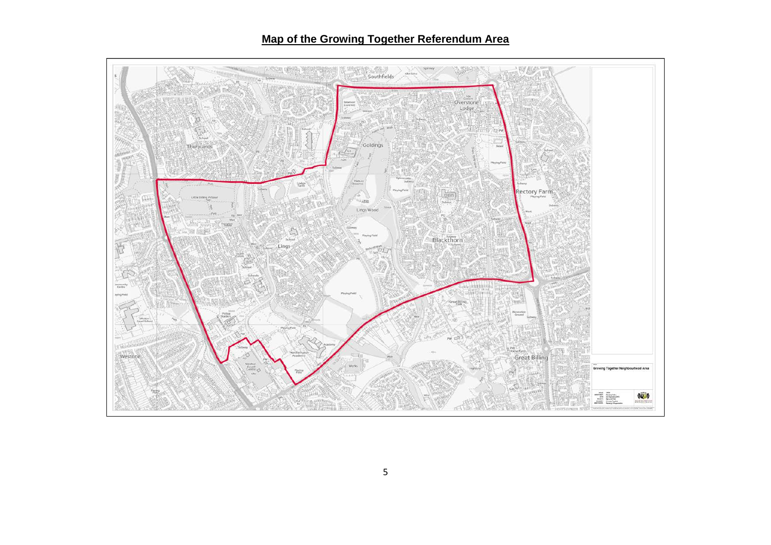# **Map of the Growing Together Referendum Area**